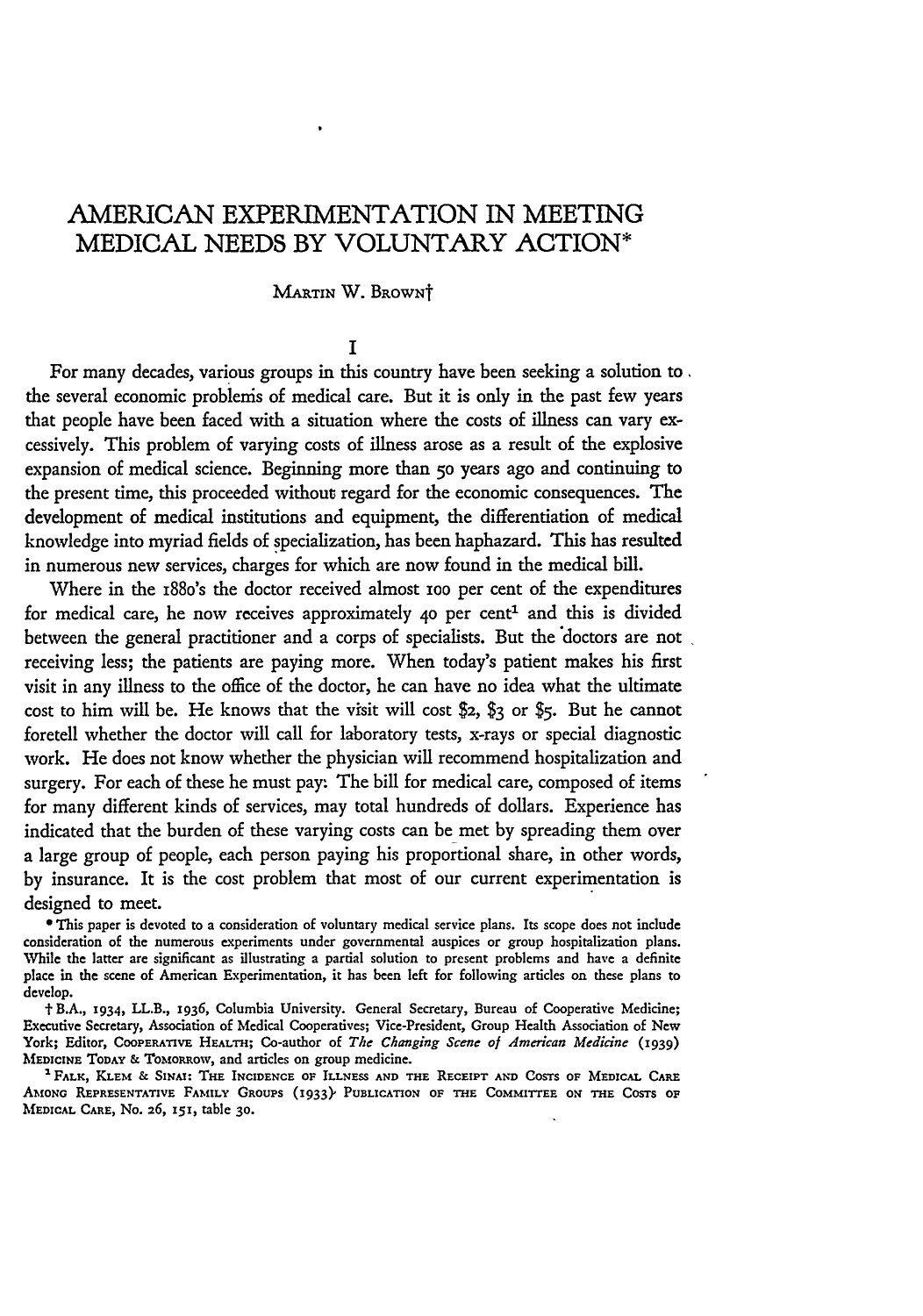# AMERICAN EXPERIMENTATION IN MEETING MEDICAL NEEDS BY VOLUNTARY ACTION\*

**MARTIN** W. BROWNt

#### **I**

For many decades, various groups in this country have been seeking a solution to. the several economic problenis of medical care. But it is only in the past few years that people have been faced with a situation where the costs of illness can vary excessively. This problem of varying costs of illness arose as a result of the explosive expansion of medical science. Beginning more than **50** years ago and continuing to the present time, this proceeded without regard for the economic consequences. The development of medical institutions and equipment, the differentiation of medical knowledge into myriad fields of specialization, has been haphazard. This has resulted in numerous new services, charges for which are now found in the medical bill.

Where in the i88o's the doctor received almost ioo per cent of the expenditures for medical care, he now receives approximately 40 per cent<sup>1</sup> and this is divided between the general practitioner and a corps of specialists. But the doctors are not receiving less; the patients are paying more. When today's patient makes his first visit in any illness to the office of the doctor, he can have no idea what the ultimate cost to him will be. He knows that the visit will cost **\$2,** \$3 or **\$5.** But he cannot foretell whether the doctor will call for laboratory tests, x-rays or special diagnostic work. He does not know whether the physician will recommend hospitalization and surgery. For each of these he must pay: The bill for medical care, composed of items for many different kinds of services, may total hundreds of dollars. Experience has indicated that the burden of these varying costs can be met by spreading them over a large group of people, each person paying his proportional share, in other words, by insurance. It is the cost problem that most of our current experimentation is designed to meet.

**0** This paper is devoted to a consideration of voluntary medical service plans. Its scope does not include consideration of the numerous experiments under governmental auspices or group hospitalization plans. While the latter are significant as illustrating a partial solution to present problems and have a definite place in the scene of American Experimentation, it has been left for following articles on these plans to develop.

t B.A., 1934, LL.B., 1936, Columbia University. General Secretary, Bureau of Cooperative Medicine; Executive Secretary, Association of Medical Cooperatives; Vice-President, Group Health Association of New York; Editor, COOPERATIVE HEALTH; Co-author of *The Changing Scene of American Medicine* (1939) **MEDICINE TODAY &** TomoRtow, and articles on group medicine.

**'FALK, KLEM & SINAI: THE INCIDENCE OF ILLNESS AND THE RECEIPT AND COSTS OF MEDICAL CARE** AMONG REPRESENTATIVE FAMILY GROUPS (1933) PUBLICATION OF THE COMMITTEE ON THE COSTS OF **MEDICAL CARE,** No. **26, 151,** table **30.**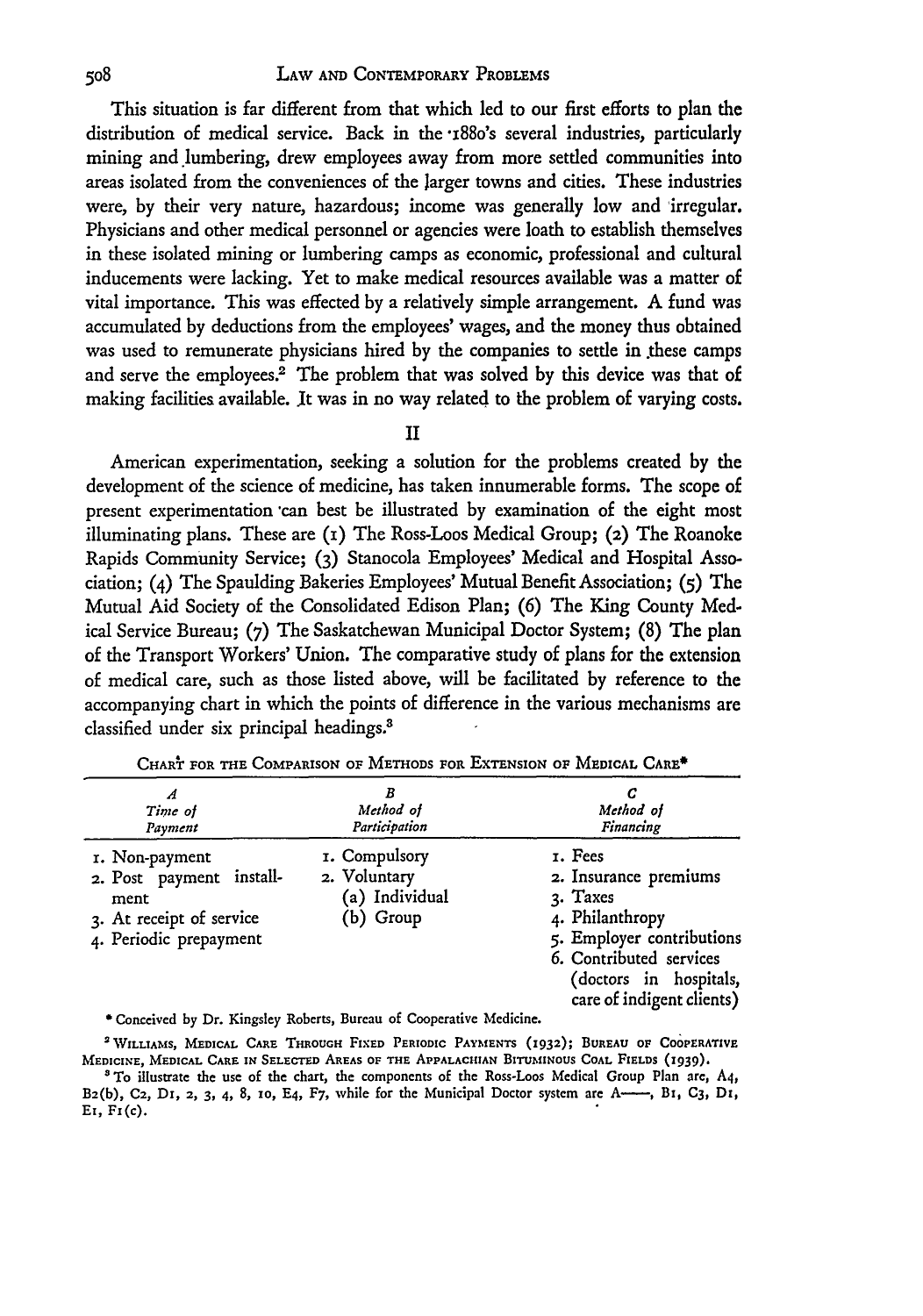#### **LAW AND CONTEMPORARY PROBLEMS**

This situation is far different from that which led to our first efforts to plan the distribution of medical service. Back in the "x88o's several industries, particularly mining and lumbering, drew employees away from more settled communities into areas isolated from the conveniences of the larger towns and cities. These industries were, by their very nature, hazardous; income was generally low and irregular. Physicians and other medical personnel or agencies were loath to establish themselves in these isolated mining or lumbering camps as economic, professional and cultural inducements were lacking. Yet to make medical resources available was a matter of vital importance. This was effected by a relatively simple arrangement. **A** fund was accumulated by deductions from the employees' wages, and the money thus obtained was used to remunerate physicians hired by the companies to settle in these camps and serve the employees.<sup>2</sup> The problem that was solved by this device was that of making facilities available. It was in no way related to the problem of varying costs.

II

American experimentation, seeking a solution for the problems created by the development of the science of medicine, has taken innumerable forms. The scope of present experimentation can best be illustrated by examination of the eight most illuminating plans. These are (i) The Ross-Loos Medical Group; **(2)** The Roanoke Rapids Community Service; **(3)** Stanocola Employees' Medical and Hospital Association; (4) The Spaulding Bakeries Employees' Mutual Benefit Association; **(5)** The Mutual Aid Society of the Consolidated Edison Plan; (6) The King County Medical Service Bureau; **(7)** The Saskatchewan Municipal Doctor System; (8) The plan of the Transport Workers' Union. The comparative study of plans for the extension of medical care, such as those listed above, will be facilitated by reference to the accompanying chart in which the points of difference in the various mechanisms are classified under six principal headings.'

| Time of<br>Payment                                                                                       | B<br>Method of<br>Participation                                     | Method of<br>Financing                                                                                                                                                         |
|----------------------------------------------------------------------------------------------------------|---------------------------------------------------------------------|--------------------------------------------------------------------------------------------------------------------------------------------------------------------------------|
| r. Non-payment<br>2. Post payment install-<br>ment<br>3. At receipt of service<br>4. Periodic prepayment | 1. Compulsory<br>2. Voluntary<br>(a) Individual<br>(b) Group        | I. Fees<br>2. Insurance premiums<br>3. Taxes<br>4. Philanthropy<br>5. Employer contributions<br>6. Contributed services<br>(doctors in hospitals,<br>care of indigent clients) |
|                                                                                                          | * Canadigal by Dr. Vincolay Poberts, Bureau of Cooperative Medicine |                                                                                                                                                                                |

CHART FOR THE COMPARISON OF **METHODS** FOR **ExTENSION** OF **MEDICAL** CARE'

**Conceived** by Dr. Kingsley Roberts, Bureau of Cooperative Medicine.

**'WILLIAMS, MEDICAL** CARE **THROUGH FIXED PERIODIC PAYMENTS (932); BUREAU OF COOPERATIVE MEDICINE, MEDICAL CARE IN SELECTED AREAS OF THE APPALACHIAN BITUMINOUS COAL FIELDS (1939).**

'To illustrate the use **of** the chart, the components **of** the **Ross-Loos Medical** Group Plan **are, A4,** B,(b), **C2, Di, 2, 3,** 4, 8, **1o,** E4, **F7,** while **for** the Municipal **Doctor** system **are A- ,** BI, **C3,** Di, **Et,** Fs(c).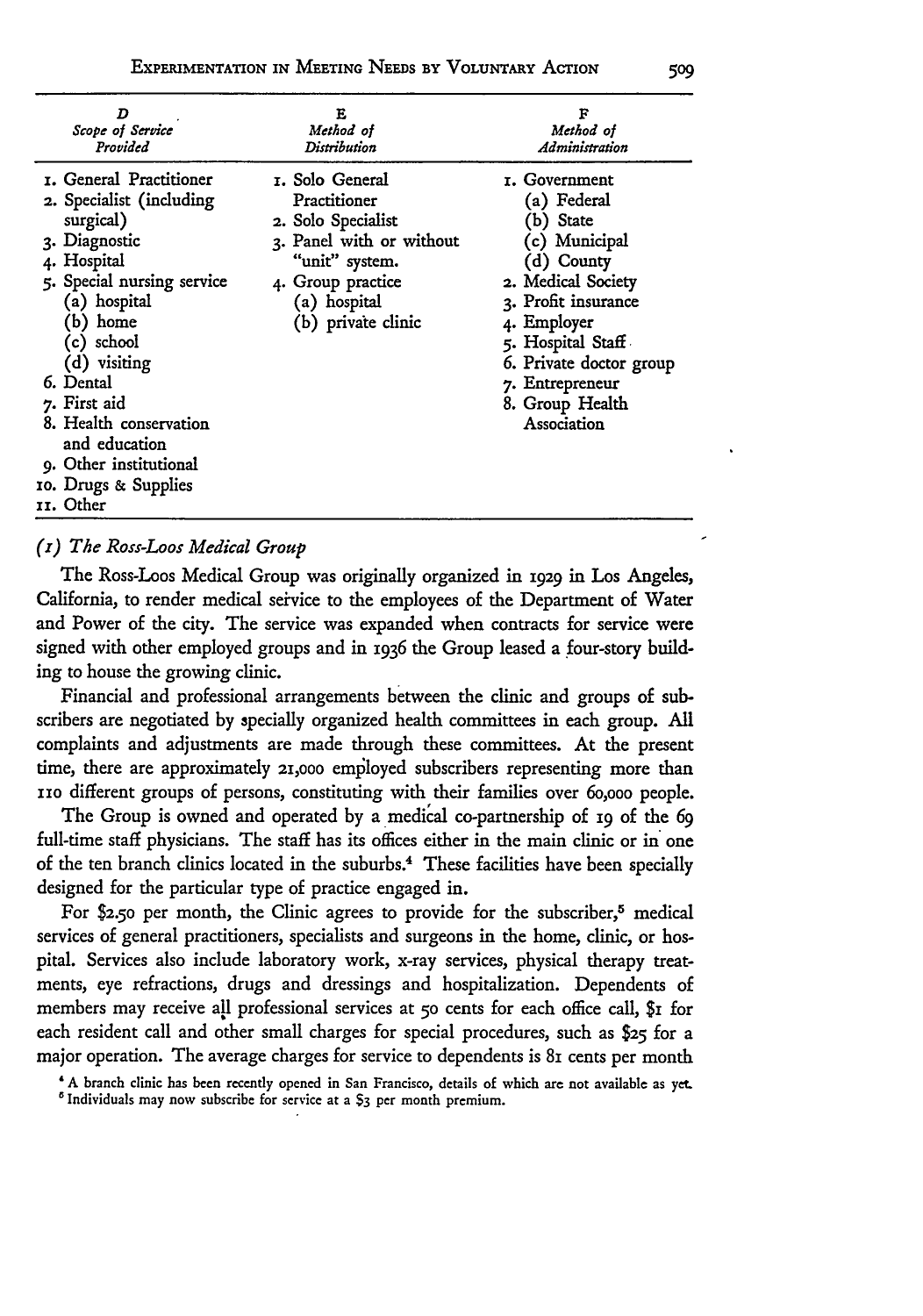| D                                                                                                                                                                                                                                                                                                                               | E                                                                                                                                                              | F                                                                                                                                                                                                                                         |
|---------------------------------------------------------------------------------------------------------------------------------------------------------------------------------------------------------------------------------------------------------------------------------------------------------------------------------|----------------------------------------------------------------------------------------------------------------------------------------------------------------|-------------------------------------------------------------------------------------------------------------------------------------------------------------------------------------------------------------------------------------------|
| Scope of Service                                                                                                                                                                                                                                                                                                                | Method of                                                                                                                                                      | Method of                                                                                                                                                                                                                                 |
| Provided                                                                                                                                                                                                                                                                                                                        | Distribution                                                                                                                                                   | Administration                                                                                                                                                                                                                            |
| 1. General Practitioner<br>2. Specialist (including<br>surgical)<br>3. Diagnostic<br>4. Hospital<br>5. Special nursing service<br>(a) hospital<br>(b) home<br>(c) school<br>(d) visiting<br>6. Dental<br>7. First aid<br>8. Health conservation<br>and education<br>9. Other institutional<br>10. Drugs & Supplies<br>11. Other | 1. Solo General<br>Practitioner<br>2. Solo Specialist<br>3. Panel with or without<br>"unit" system.<br>4. Group practice<br>(a) hospital<br>(b) private clinic | 1. Government<br>(a) Federal<br>(b) State<br>(c) Municipal<br>(d) County<br>2. Medical Society<br>3. Profit insurance<br>4. Employer<br>5. Hospital Staff<br>6. Private doctor group<br>7. Entrepreneur<br>8. Group Health<br>Association |

*(i) The Ross-Loos Medical Group*

The Ross-Loos Medical Group was originally organized in **1929** in Los Angeles, California, to render medical service to the employees of the Department of Water and Power of the city. The service was expanded when contracts for service were signed with other employed groups and in 1936 the Group leased a four-story building to house the growing clinic.

Financial and professional arrangements between the clinic and groups of subscribers are negotiated by specially organized health committees in each group. **All** complaints and adjustments are made through these committees. At the present time, there are approximately 21,000 employed subscribers representing more than IIO different groups of persons, constituting with their families over 60,000 people.

The Group is owned and operated by a medical co-partnership of **19** of the 69 full-time staff physicians. The staff has its offices either in the main clinic or in one of the ten branch clinics located in the suburbs.<sup>4</sup> These facilities have been specially designed for the particular type of practice engaged in.

For **\$2.50** per month, the Clinic agrees to provide for the subscriber,5 medical services of general practitioners, specialists and surgeons in the home, clinic, or hospital. Services also include laboratory work, x-ray services, physical therapy treatments, eye refractions, drugs and dressings and hospitalization. Dependents of members may receive all professional services at **50** cents for each office call, *\$I* for each resident call and other small charges for special procedures, such as **\$25** for a major operation. The average charges for service to dependents is 8i cents per month

'A branch clinic has been recently opened in San Francisco, details of which are not available as yet.

<sup>6</sup> Individuals may now subscribe for service at a \$3 per month premium.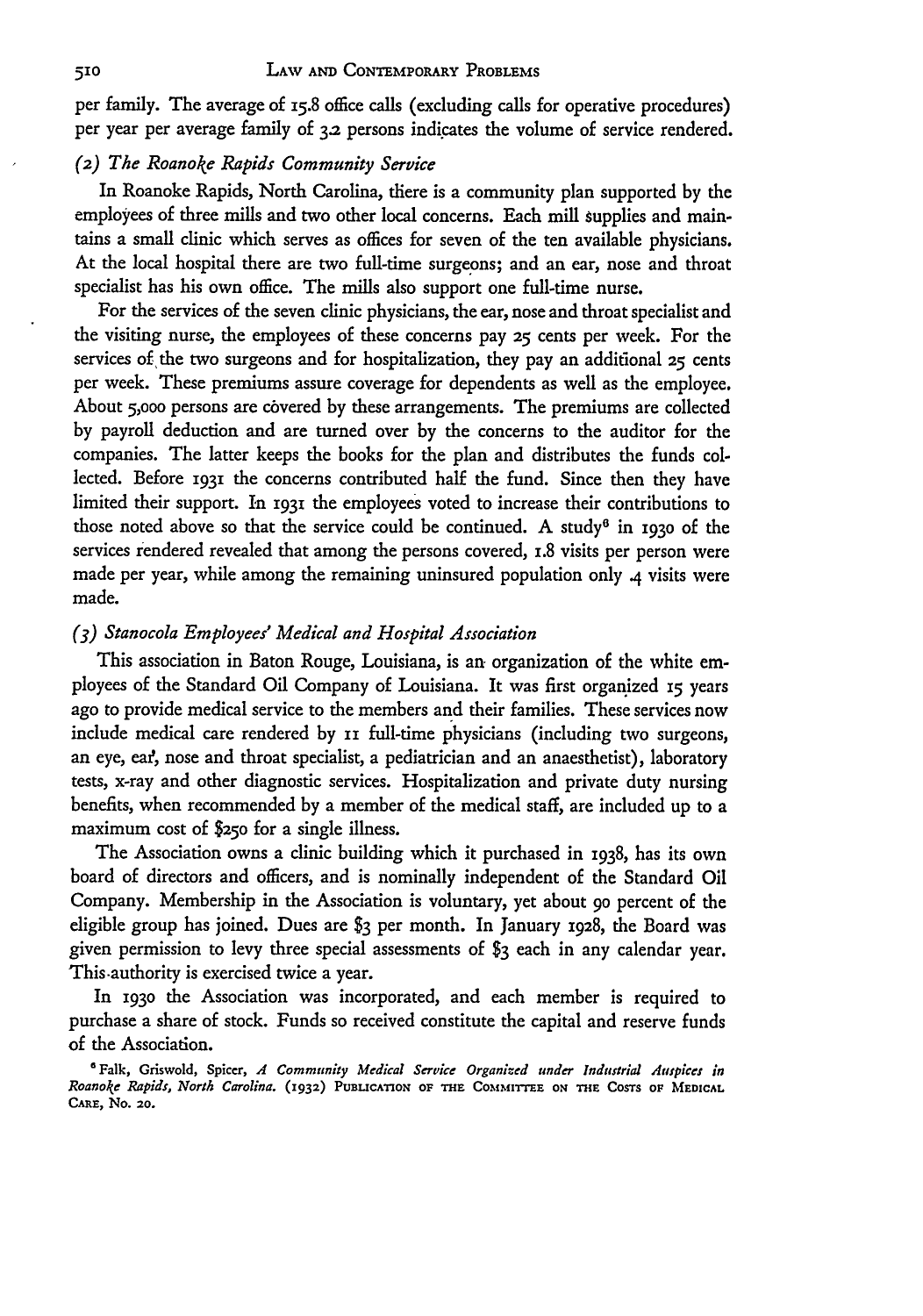per family. The average of **15.8** office calls (excluding calls for operative procedures) per year per average family of **3.2** persons indicates the volume of service rendered.

### (2) *The Roanoke Rapids Community Service*

In Roanoke Rapids, North Carolina, there is a community plan supported by the employees of three mills and two other local concerns. Each mill supplies and maintains a small clinic which serves as offices for seven of the ten available physicians. At the local hospital there are two full-time surgeons; and an ear, nose and throat specialist has his own office. The mills also support one full-time nurse.

For the services of the seven clinic physicians, the ear, nose and throat specialist and the visiting nurse, the employees of these concerns pay **25** cents per week. For the services of the two surgeons and for hospitalization, they pay an additional 25 cents per week. These premiums assure coverage for dependents as well as the employee. About **5,000** persons are cbvered by these arrangements. The premiums are collected by payroll deduction and are turned over by the concerns to the auditor for the companies. The latter keeps the books for the plan and distributes the funds collected. Before **i93i** the concerns contributed half the fund. Since then they have limited their support. In **I93i** the employees voted to increase their contributions to those noted above so that the service could be continued. A study6 in **193o** of the services rendered revealed that among the persons covered, 1.8 visits per person were made per year, while among the remaining uninsured population only .4 visits were made.

#### *(3) Stanocola Employees' Medical and Hospital Association*

This association in Baton Rouge, Louisiana, is an organization of the white employees of the Standard Oil Company of Louisiana. It was first organized 15 years ago to provide medical service to the members and their families. These services now include medical care rendered by 11 full-time physicians (including two surgeons, an eye, eai', nose and throat specialist, a pediatrician and an anaesthetist), laboratory tests, x-ray and other diagnostic services. Hospitalization and private duty nursing benefits, when recommended by a member of the medical staff, are included up to a maximum cost of **\$250** for a single illness.

The Association owns a clinic building which it purchased in 1938, has its own board of directors and officers, and is nominally independent of the Standard Oil Company. Membership in the Association is voluntary, yet about **90** percent of the eligible group has joined. Dues are \$3 per month. In January **1928,** the Board was given permission to levy three special assessments of **\$3** each in any calendar year. This.authority is exercised twice a year.

In **i93o** the Association was incorporated, and each member is required to purchase a share of stock. Funds so received constitute the capital and reserve funds of the Association.

<sup>6</sup> Falk, Griswold, **Spicer,** *A Community Medical Service Organized under Industrial Auspices in Roanoke Rapids, North Carolina.* **(1932) PUBLICATION OF** THE COMMITTEE **ON** THE COsTS **OF MEDICAL CARE, No. 20.**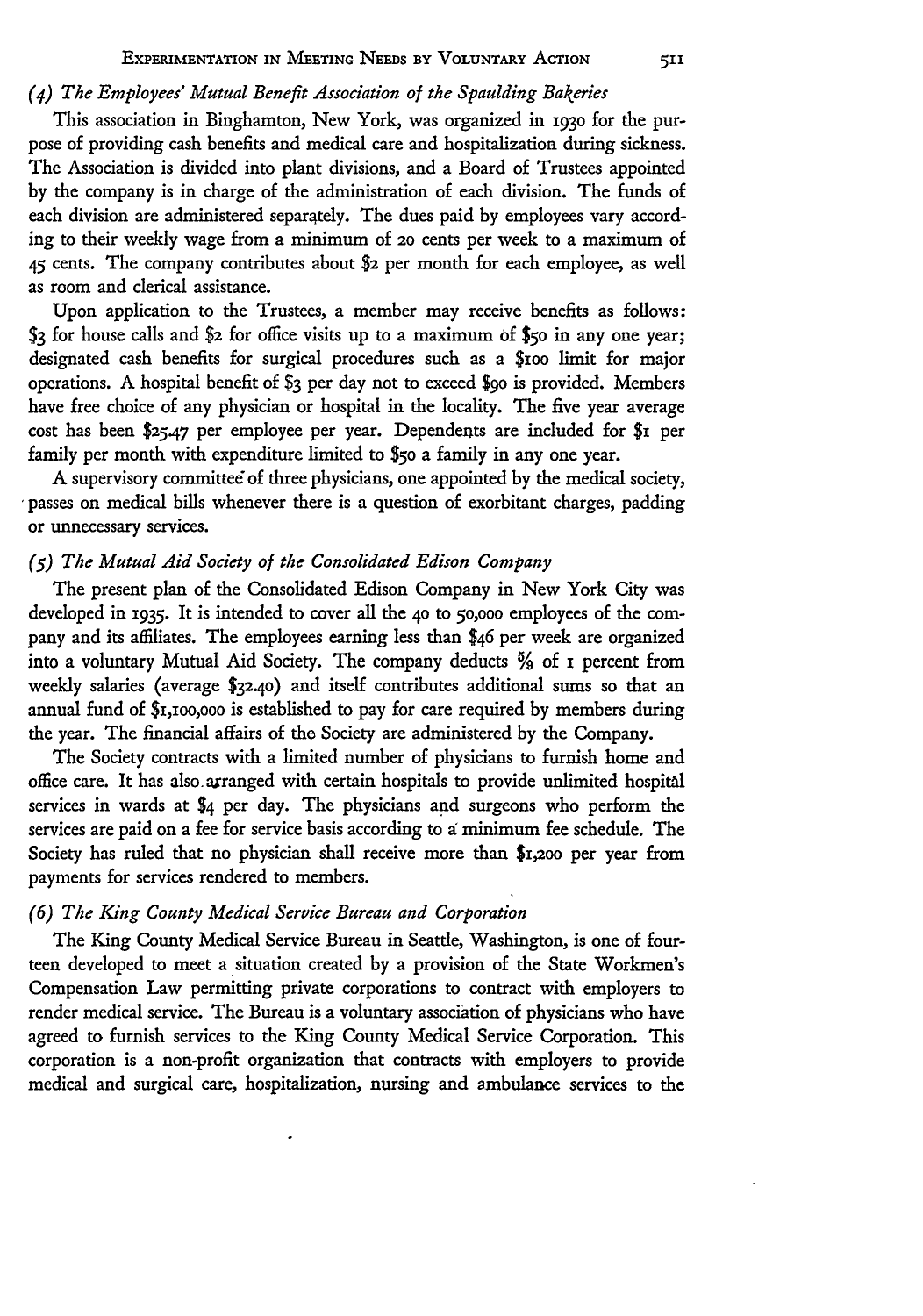## *(4) The Employees' Mutual Benefit Association of the Spaulding Bakeries*

This association in Binghamton, New York, was organized in i93o for the purpose of providing cash benefits and medical care and hospitalization during sickness. The Association is divided into plant divisions, and a Board of Trustees appointed by the company is in charge of the administration of each division. The funds of each division are administered separately. The dues paid by employees vary according to their weekly wage from a minimum of 20 cents per week to a maximum of 45 cents. The company contributes about **\$2** per month for each employee, as well as room and clerical assistance.

Upon application to the Trustees, a member may receive benefits as follows: \$3 for house calls and \$2 for office visits up to a maximum of \$5o in any one year; designated cash benefits for surgical procedures such as a \$ioo limit for major operations. A hospital benefit of **\$3** per day not to exceed \$9o is provided. Members have free choice of any physician or hospital in the locality. The five year average cost has been \$2547 per employee per year. Dependents are included for **\$i** per family per month with expenditure limited to **\$50** a family in any one year.

A supervisory committee of three physicians, one appointed by the medical society, passes on medical bills whenever there is a question of exorbitant charges, padding or unnecessary services.

#### *(5) The Mutual Aid Society of the Consolidated Edison Company*

The present plan of the Consolidated Edison Company in New York City was developed in **1935.** It is intended to cover all the **40** to 5oooo employees of the company and its affiliates. The employees earning less than \$46 per week are organized into a voluntary Mutual Aid Society. The company deducts  $\frac{5}{9}$  of I percent from weekly salaries (average \$3240) and itself contributes additional sums so that an annual fund of \$1,100,000 is established to pay for care required by members during the year. The financial affairs of the Society are administered by the Company.

The Society contracts with a limited number of physicians to furnish home and office care. It has also. arranged with certain hospitals to provide unlimited hospital services in wards at \$4 per day. The physicians and surgeons who perform the services are paid on a fee for service basis according to a minimum fee schedule. The Society has ruled that no physician shall receive more than \$1,200 per year from payments for services rendered to members.

#### *(6) The King County Medical Service Bureau and Corporation*

The King County Medical Service Bureau in Seattle, Washington, is one of fourteen developed to meet a situation created by a provision of the State Workmen's Compensation Law permitting private corporations to contract with employers to render medical service. The Bureau is a voluntary association of physicians who have agreed to furnish services to the King County Medical Service Corporation. This corporation is a non-profit organization that contracts with employers to provide medical and surgical care, hospitalization, nursing and ambulance services to the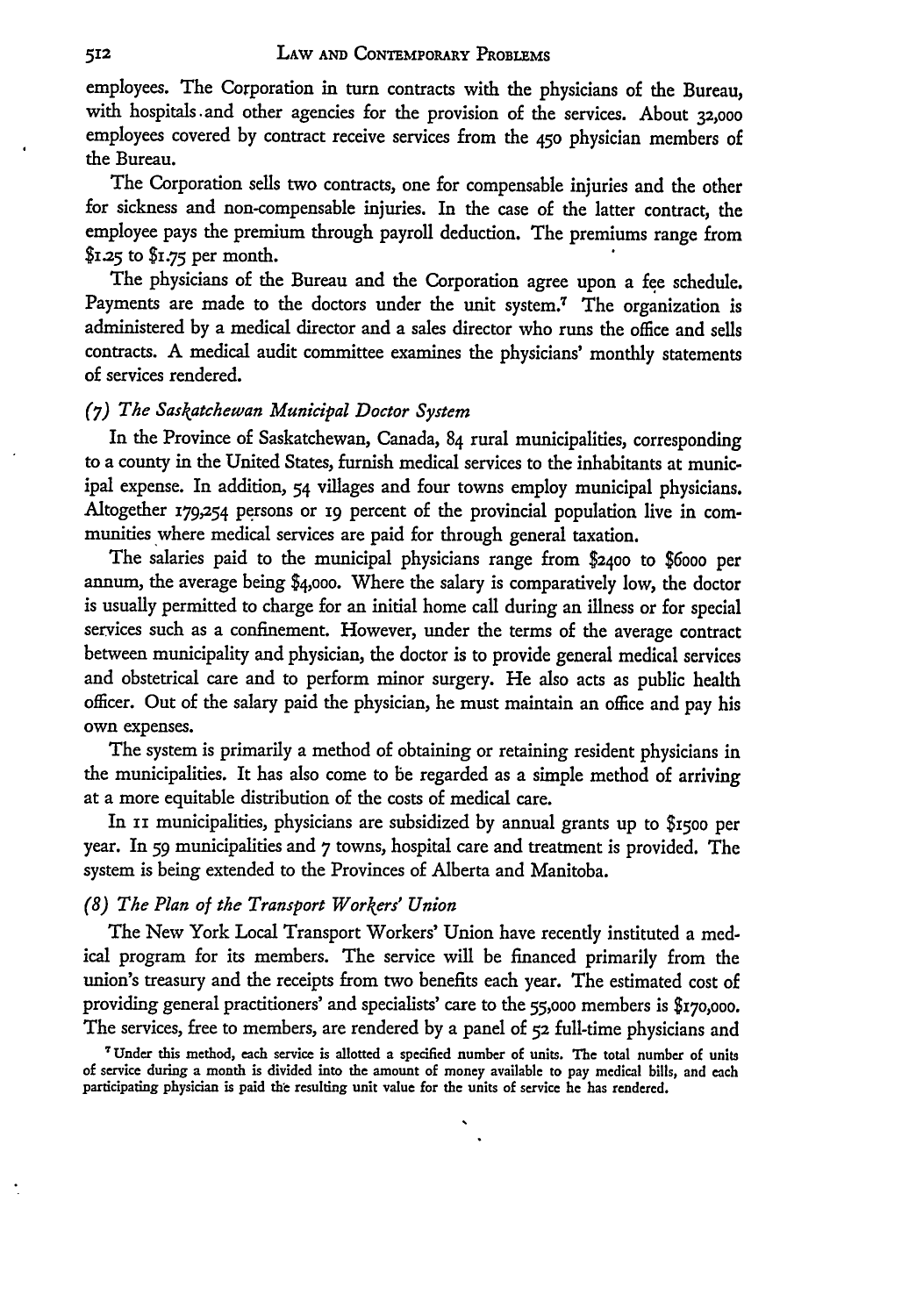employees. The Corporation in turn contracts with the physicians of the Bureau, with hospitals .and other agencies for the provision of the services. About **32,o00** employees covered by contract receive services from the 450 physician members of the Bureau.

The Corporation sells two contracts, one for compensable injuries and the other for sickness and non-compensable injuries. In the case of the latter contract, the employee pays the premium through payroll deduction. The premiums range from **\$1.25** to **\$1.75** per month.

The physicians of the Bureau and the Corporation agree upon a fee schedule. Payments are made to the doctors under the unit system.7 The organization is administered by a medical director and a sales director who runs the office and sells contracts. A medical audit committee examines the physicians' monthly statements of services rendered.

## *(7) The Saskatchewan Municipal Doctor System*

In the Province of Saskatchewan, Canada, 84 rural municipalities, corresponding to a county in the United States, furnish medical services to the inhabitants at municipal expense. In addition, 54 villages and four towns employ municipal physicians. Altogether **179,254** persons or **19** percent of the provincial population live in communities where medical services are paid for through general taxation.

The salaries paid to the municipal physicians range from \$2400 to \$6ooo per annum, the average being \$4,ooo. Where the salary is comparatively low, the doctor is usually permitted to charge for an initial home call during an illness or for special services such as a confinement. However, under the terms of the average contract between municipality and physician, the doctor is to provide general medical services and obstetrical care and to perform minor surgery. He also acts as public health officer. Out of the salary paid the physician, he must maintain an office and pay his own expenses.

The system is primarily a method of obtaining or retaining resident physicians in the municipalities. It has also come to be regarded as a simple method of arriving at a more equitable distribution of the costs of medical care.

In **ii** municipalities, physicians are subsidized by annual grants up to **\$1500** per year. In **59** municipalities and 7 towns, hospital care and treatment is provided. The system is being extended to the Provinces of Alberta and Manitoba.

#### *(8) The Plan of the Transport Workers' Union*

The New York Local Transport Workers' Union have recently instituted a medical program for its members. The service will be financed primarily from the union's treasury and the receipts from two benefits each year. The estimated cost of providing general practitioners' and specialists' care to the 55,0o0 members is **\$170,000.** The services, free to members, are rendered by a panel of 52 full-time physicians and

<sup>&</sup>quot;Under this method, each service is allotted a specified number of units. The total number of units of service during a month is divided into the amount of money available to pay medical bills, and each participating physician is paid the resulting unit value for the units of service he has rendered.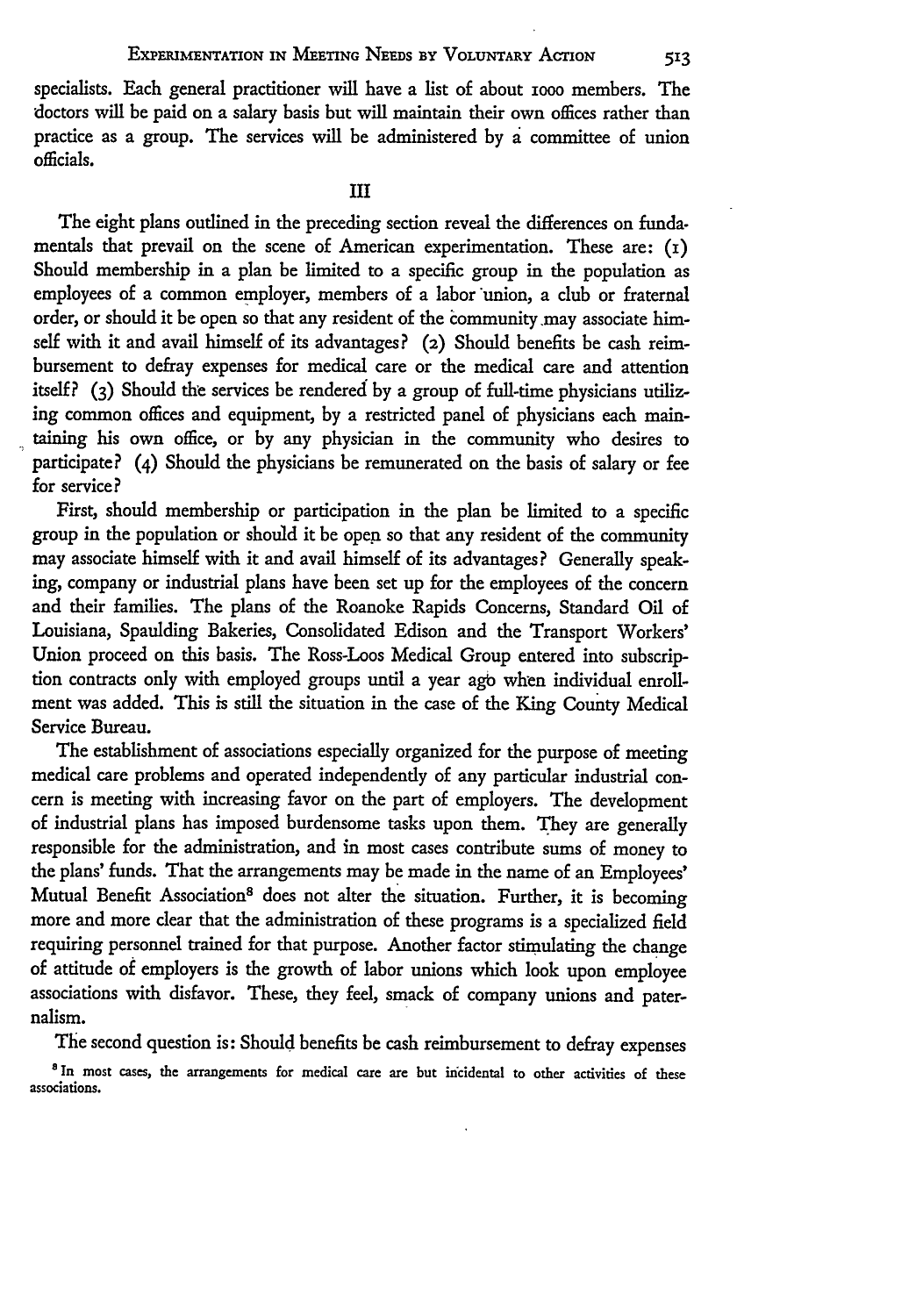specialists. Each general practitioner will have a list of about iooo members. The doctors will be paid on a salary basis but will maintain their own offices rather than practice as a group. The services will be administered by a committee of union officials.

The eight plans outlined in the preceding section reveal the differences on fundamentals that prevail on the scene of American experimentation. These are: (I) Should membership in a plan be limited to a specific group in the population as employees of a common employer, members of a labor union, a club or fraternal order, or should it be open so that any resident of the community.may associate himself with it and avail himself of its advantages? (2) Should benefits be cash reimbursement to defray expenses for medical care or the medical care and attention itself? **(3)** Should the services be rendered by a group of full-time physicians utilizing common offices and equipment, by a restricted panel of physicians each maintaining his own office, or by any physician in the community who desires to participate? (4) Should the physicians be remunerated on the basis of salary or fee for service?

First, should membership or participation in the plan be limited to a specific group in the population or should it be open so that any resident of the community may associate himself with it and avail himself of its advantages? Generally speaking, company or industrial plans have been set up for the employees of the concern and their families. The plans of the Roanoke Rapids Concerns, Standard Oil of Louisiana, Spaulding Bakeries, Consolidated Edison and the Transport Workers' Union proceed on this basis. The Ross-Loos Medical Group entered into subscription contracts only with employed groups until a year ago when individual enrollment was added. This is still the situation in the case of the King County Medical Service Bureau.

The establishment of associations especially organized for the purpose of meeting medical care problems and operated independently of any particular industrial concern is meeting with increasing favor on the part of employers. The development of industrial plans has imposed burdensome tasks upon them. They are generally responsible for the administration, and in most cases contribute sums of money to the plans' funds. That the arrangements may be made in the name of an Employees' Mutual Benefit Association<sup>8</sup> does not alter the situation. Further, it is becoming more and more clear that the administration of these programs is a specialized field requiring personnel trained for that purpose. Another factor stimulating the change of attitude of employers is the growth of labor unions which look upon employee associations with disfavor. These, they feel, smack of company unions and paternalism.

The second question is: Should benefits be cash reimbursement to defray expenses

<sup>8</sup> In most cases, the arrangements for medical care are but incidental to other activities of these associations.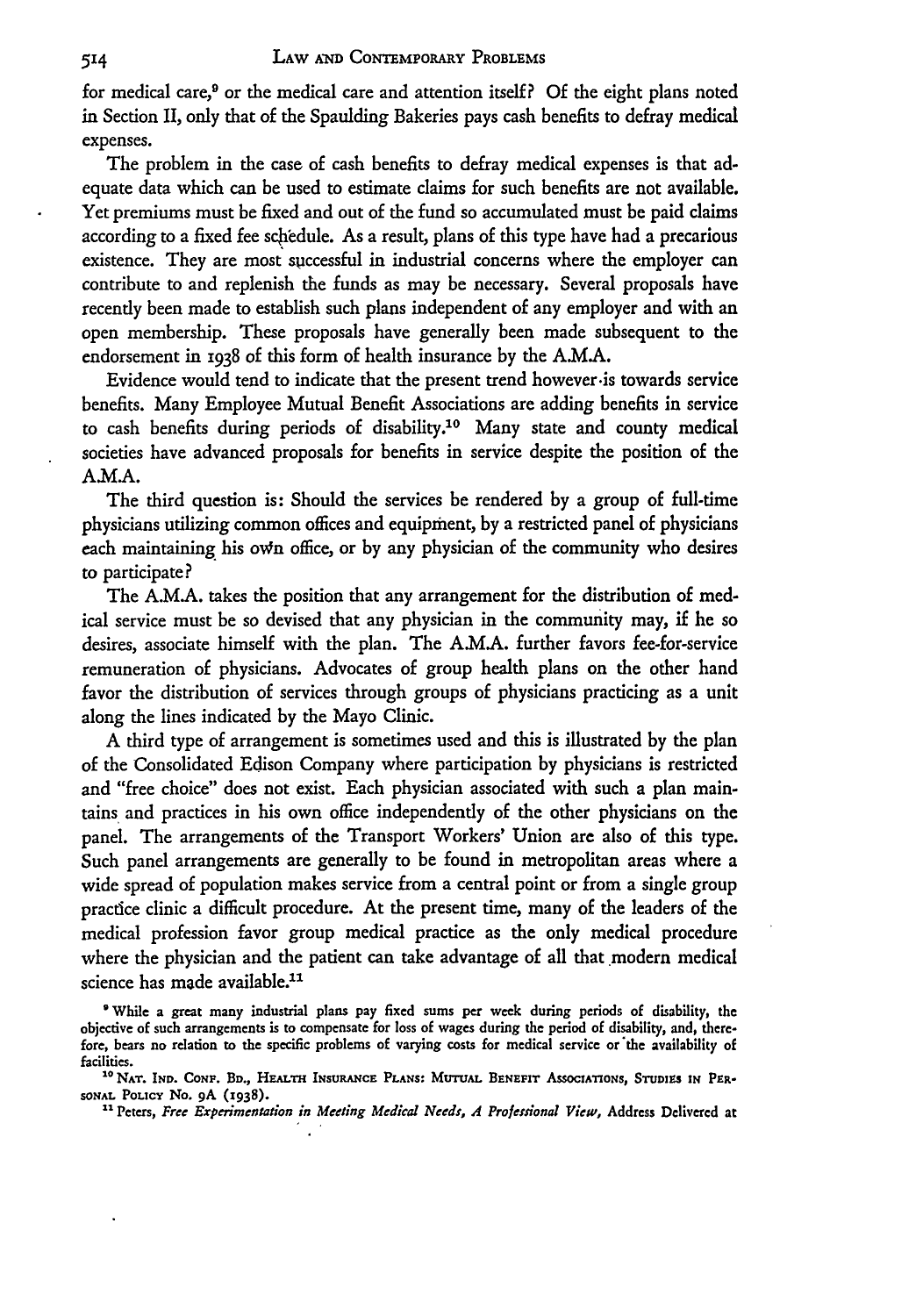for medical care, 9 or the medical care and attention itself? **Of** the eight plans noted in Section II, only that of the Spaulding Bakeries pays cash benefits to defray medical expenses.

The problem in the case of cash benefits to defray medical expenses is that adequate data which can be used to estimate claims for such benefits are not available. Yet premiums must be fixed and out of the fund so accumulated must be paid claims according to a fixed fee schedule. As a result, plans of this type have had a precarious existence. They are most successful in industrial concerns where the employer can contribute to and replenish the funds as may be necessary. Several proposals have recently been made to establish such plans independent of any employer and with an open membership. These proposals have generally been made subsequent to the endorsement in 1938 of this form of health insurance by the A.M.A.

Evidence would tend to indicate that the present trend however.is towards service benefits. Many Employee Mutual Benefit Associations are adding benefits in service to cash benefits during periods of disability.<sup>10</sup> Many state and county medical societies have advanced proposals for benefits in service despite the position of the A.M.A.

The third question is: Should the services be rendered by a group of full-time physicians utilizing common offices and equipment, by a restricted panel of physicians each maintaining his oWn office, or by any physician of the community who desires to participate?

The A.M.A. takes the position that any arrangement for the distribution of medical service must be so devised that any physician in the community may, if he so desires, associate himself with the plan. The A.M.A. further favors fee-for-service remuneration of physicians. Advocates of group health plans on the other hand favor the distribution of services through groups of physicians practicing as a unit along the lines indicated by the Mayo Clinic.

A third type of arrangement is sometimes used and this is illustrated by the plan of the Consolidated Edison Company where participation by physicians is restricted and "free choice" does not exist. Each physician associated with such a plan maintains and practices in his own office independently of the other physicians on the panel. The arrangements of the Transport Workers' Union are also of this type. Such panel arrangements are generally to be found in metropolitan areas where a wide spread of population makes service from a central point or from a single group practice clinic a difficult procedure. At the present time, many of the leaders of the medical profession favor group medical practice as the only medical procedure where the physician and the patient can take advantage of all that modern medical science has made available.<sup>11</sup>

**g** While a great many industrial plans pay fixed sums per week during periods of disability, the objective of such arrangements is to compensate for loss of wages during the period of disability, and, therefore, bears no relation to the specific problems of varying costs for medical service or'the availability of facilities.<br><sup>10</sup> Nat. Ind. Conf. Bd., Health Insurance Plans: Mutual Benefit Associations, Studies in Per-

**SONAL PoLicY No. 9A (1938).**

**<sup>&</sup>quot;' Peters,** *Free Experimentation in* Meeting *Medical Needs, . Profesional View,* **Address** Delivered at